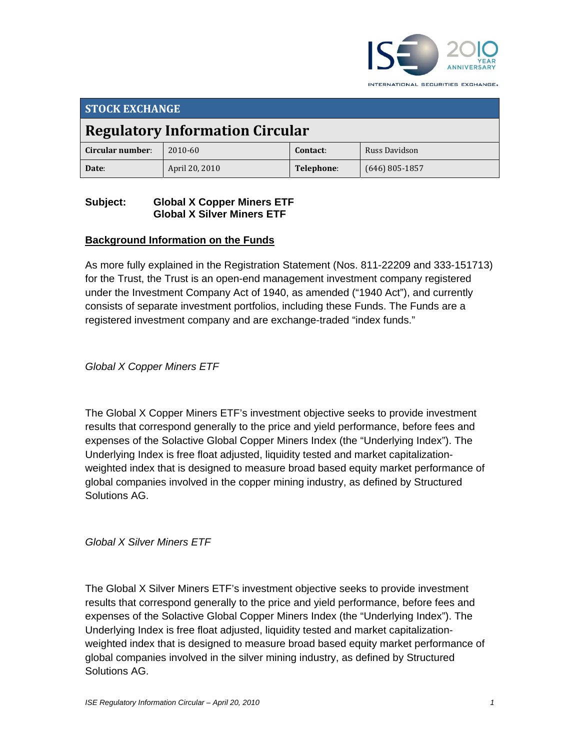

INTERNATIONAL SECURITIES EXCHANGE.

| <b>STOCK EXCHANGE</b>                  |                |            |                  |  |
|----------------------------------------|----------------|------------|------------------|--|
| <b>Regulatory Information Circular</b> |                |            |                  |  |
| Circular number:                       | 2010-60        | Contact:   | Russ Davidson    |  |
| Date:                                  | April 20, 2010 | Telephone: | $(646)$ 805-1857 |  |

# **Subject: Global X Copper Miners ETF Global X Silver Miners ETF**

# **Background Information on the Funds**

As more fully explained in the Registration Statement (Nos. 811-22209 and 333-151713) for the Trust, the Trust is an open-end management investment company registered under the Investment Company Act of 1940, as amended ("1940 Act"), and currently consists of separate investment portfolios, including these Funds. The Funds are a registered investment company and are exchange-traded "index funds."

*Global X Copper Miners ETF*

The Global X Copper Miners ETF's investment objective seeks to provide investment results that correspond generally to the price and yield performance, before fees and expenses of the Solactive Global Copper Miners Index (the "Underlying Index"). The Underlying Index is free float adjusted, liquidity tested and market capitalizationweighted index that is designed to measure broad based equity market performance of global companies involved in the copper mining industry, as defined by Structured Solutions AG.

*Global X Silver Miners ETF*

The Global X Silver Miners ETF's investment objective seeks to provide investment results that correspond generally to the price and yield performance, before fees and expenses of the Solactive Global Copper Miners Index (the "Underlying Index"). The Underlying Index is free float adjusted, liquidity tested and market capitalizationweighted index that is designed to measure broad based equity market performance of global companies involved in the silver mining industry, as defined by Structured Solutions AG.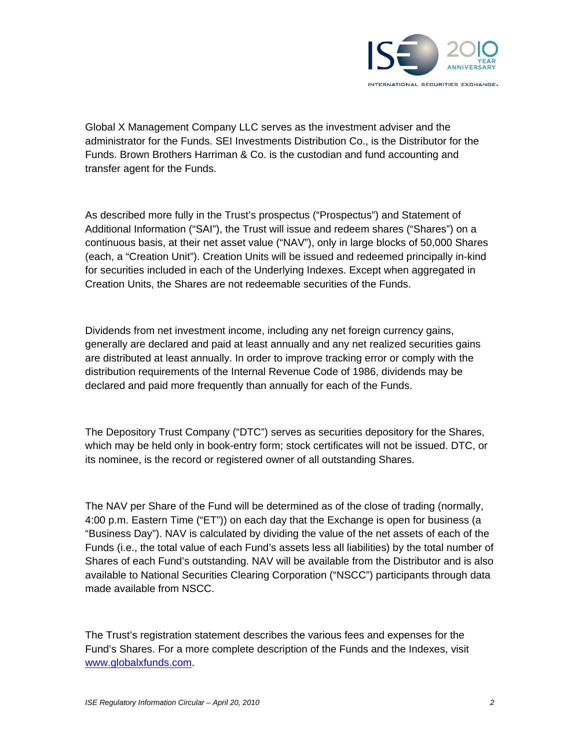

Global X Management Company LLC serves as the investment adviser and the administrator for the Funds. SEI Investments Distribution Co., is the Distributor for the Funds. Brown Brothers Harriman & Co. is the custodian and fund accounting and transfer agent for the Funds.

As described more fully in the Trust's prospectus ("Prospectus") and Statement of Additional Information ("SAI"), the Trust will issue and redeem shares ("Shares") on a continuous basis, at their net asset value ("NAV"), only in large blocks of 50,000 Shares (each, a "Creation Unit"). Creation Units will be issued and redeemed principally in-kind for securities included in each of the Underlying Indexes. Except when aggregated in Creation Units, the Shares are not redeemable securities of the Funds.

Dividends from net investment income, including any net foreign currency gains, generally are declared and paid at least annually and any net realized securities gains are distributed at least annually. In order to improve tracking error or comply with the distribution requirements of the Internal Revenue Code of 1986, dividends may be declared and paid more frequently than annually for each of the Funds.

The Depository Trust Company ("DTC") serves as securities depository for the Shares, which may be held only in book-entry form; stock certificates will not be issued. DTC, or its nominee, is the record or registered owner of all outstanding Shares.

The NAV per Share of the Fund will be determined as of the close of trading (normally, 4:00 p.m. Eastern Time ("ET")) on each day that the Exchange is open for business (a "Business Day"). NAV is calculated by dividing the value of the net assets of each of the Funds (i.e., the total value of each Fund's assets less all liabilities) by the total number of Shares of each Fund's outstanding. NAV will be available from the Distributor and is also available to National Securities Clearing Corporation ("NSCC") participants through data made available from NSCC.

The Trust's registration statement describes the various fees and expenses for the Fund's Shares. For a more complete description of the Funds and the Indexes, visit www.globalxfunds.com.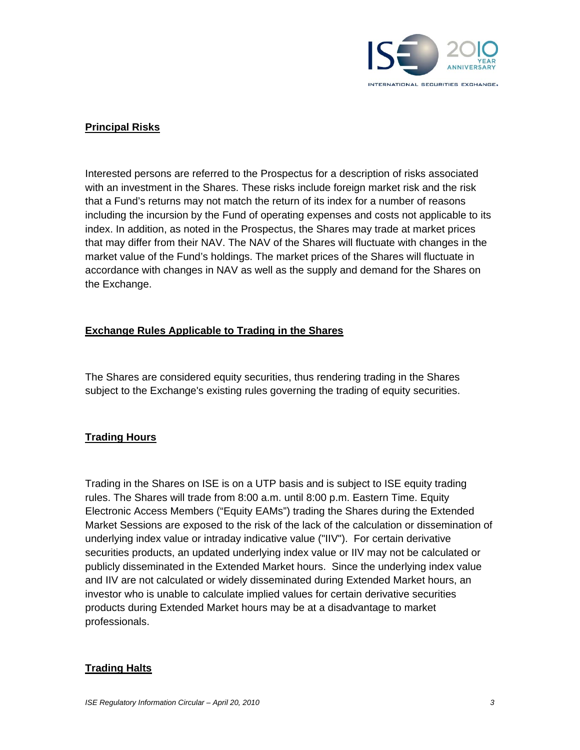

## **Principal Risks**

Interested persons are referred to the Prospectus for a description of risks associated with an investment in the Shares. These risks include foreign market risk and the risk that a Fund's returns may not match the return of its index for a number of reasons including the incursion by the Fund of operating expenses and costs not applicable to its index. In addition, as noted in the Prospectus, the Shares may trade at market prices that may differ from their NAV. The NAV of the Shares will fluctuate with changes in the market value of the Fund's holdings. The market prices of the Shares will fluctuate in accordance with changes in NAV as well as the supply and demand for the Shares on the Exchange.

### **Exchange Rules Applicable to Trading in the Shares**

The Shares are considered equity securities, thus rendering trading in the Shares subject to the Exchange's existing rules governing the trading of equity securities.

#### **Trading Hours**

Trading in the Shares on ISE is on a UTP basis and is subject to ISE equity trading rules. The Shares will trade from 8:00 a.m. until 8:00 p.m. Eastern Time. Equity Electronic Access Members ("Equity EAMs") trading the Shares during the Extended Market Sessions are exposed to the risk of the lack of the calculation or dissemination of underlying index value or intraday indicative value ("IIV"). For certain derivative securities products, an updated underlying index value or IIV may not be calculated or publicly disseminated in the Extended Market hours. Since the underlying index value and IIV are not calculated or widely disseminated during Extended Market hours, an investor who is unable to calculate implied values for certain derivative securities products during Extended Market hours may be at a disadvantage to market professionals.

#### **Trading Halts**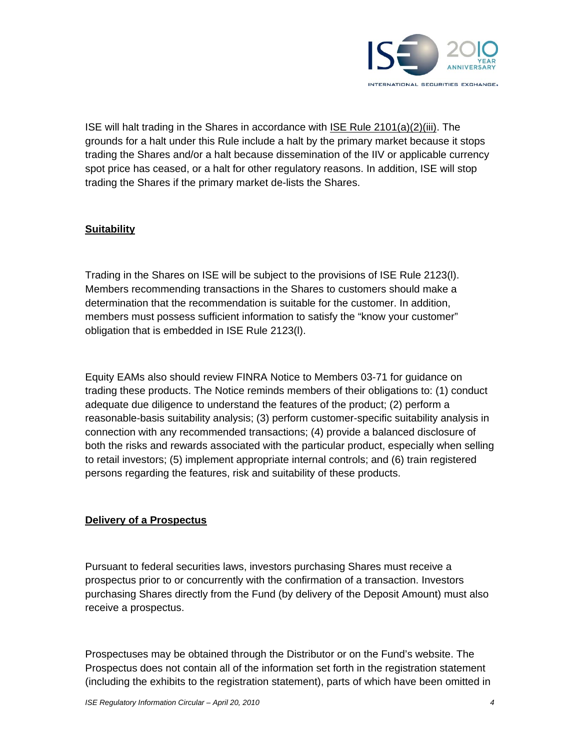

ISE will halt trading in the Shares in accordance with ISE Rule 2101(a)(2)(iii). The grounds for a halt under this Rule include a halt by the primary market because it stops trading the Shares and/or a halt because dissemination of the IIV or applicable currency spot price has ceased, or a halt for other regulatory reasons. In addition, ISE will stop trading the Shares if the primary market de-lists the Shares.

### **Suitability**

Trading in the Shares on ISE will be subject to the provisions of ISE Rule 2123(l). Members recommending transactions in the Shares to customers should make a determination that the recommendation is suitable for the customer. In addition, members must possess sufficient information to satisfy the "know your customer" obligation that is embedded in ISE Rule 2123(l).

Equity EAMs also should review FINRA Notice to Members 03-71 for guidance on trading these products. The Notice reminds members of their obligations to: (1) conduct adequate due diligence to understand the features of the product; (2) perform a reasonable-basis suitability analysis; (3) perform customer-specific suitability analysis in connection with any recommended transactions; (4) provide a balanced disclosure of both the risks and rewards associated with the particular product, especially when selling to retail investors; (5) implement appropriate internal controls; and (6) train registered persons regarding the features, risk and suitability of these products.

#### **Delivery of a Prospectus**

Pursuant to federal securities laws, investors purchasing Shares must receive a prospectus prior to or concurrently with the confirmation of a transaction. Investors purchasing Shares directly from the Fund (by delivery of the Deposit Amount) must also receive a prospectus.

Prospectuses may be obtained through the Distributor or on the Fund's website. The Prospectus does not contain all of the information set forth in the registration statement (including the exhibits to the registration statement), parts of which have been omitted in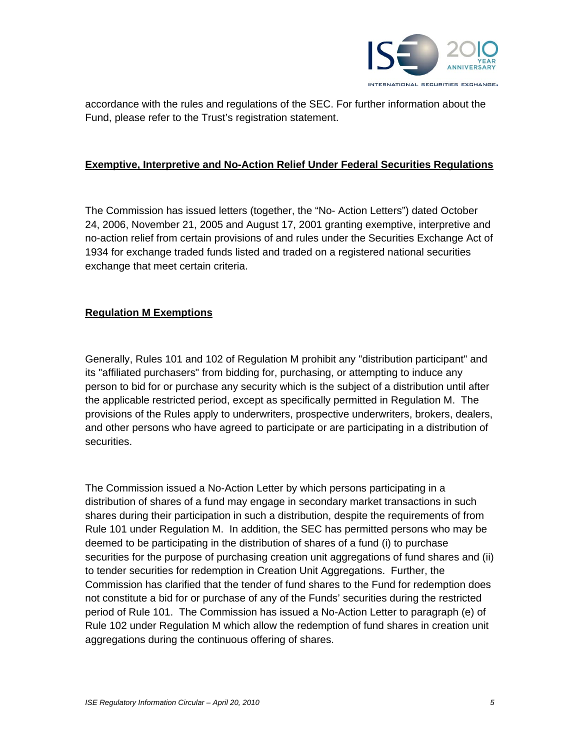

accordance with the rules and regulations of the SEC. For further information about the Fund, please refer to the Trust's registration statement.

#### **Exemptive, Interpretive and No-Action Relief Under Federal Securities Regulations**

The Commission has issued letters (together, the "No- Action Letters") dated October 24, 2006, November 21, 2005 and August 17, 2001 granting exemptive, interpretive and no-action relief from certain provisions of and rules under the Securities Exchange Act of 1934 for exchange traded funds listed and traded on a registered national securities exchange that meet certain criteria.

#### **Regulation M Exemptions**

Generally, Rules 101 and 102 of Regulation M prohibit any "distribution participant" and its "affiliated purchasers" from bidding for, purchasing, or attempting to induce any person to bid for or purchase any security which is the subject of a distribution until after the applicable restricted period, except as specifically permitted in Regulation M. The provisions of the Rules apply to underwriters, prospective underwriters, brokers, dealers, and other persons who have agreed to participate or are participating in a distribution of securities.

The Commission issued a No-Action Letter by which persons participating in a distribution of shares of a fund may engage in secondary market transactions in such shares during their participation in such a distribution, despite the requirements of from Rule 101 under Regulation M. In addition, the SEC has permitted persons who may be deemed to be participating in the distribution of shares of a fund (i) to purchase securities for the purpose of purchasing creation unit aggregations of fund shares and (ii) to tender securities for redemption in Creation Unit Aggregations. Further, the Commission has clarified that the tender of fund shares to the Fund for redemption does not constitute a bid for or purchase of any of the Funds' securities during the restricted period of Rule 101. The Commission has issued a No-Action Letter to paragraph (e) of Rule 102 under Regulation M which allow the redemption of fund shares in creation unit aggregations during the continuous offering of shares.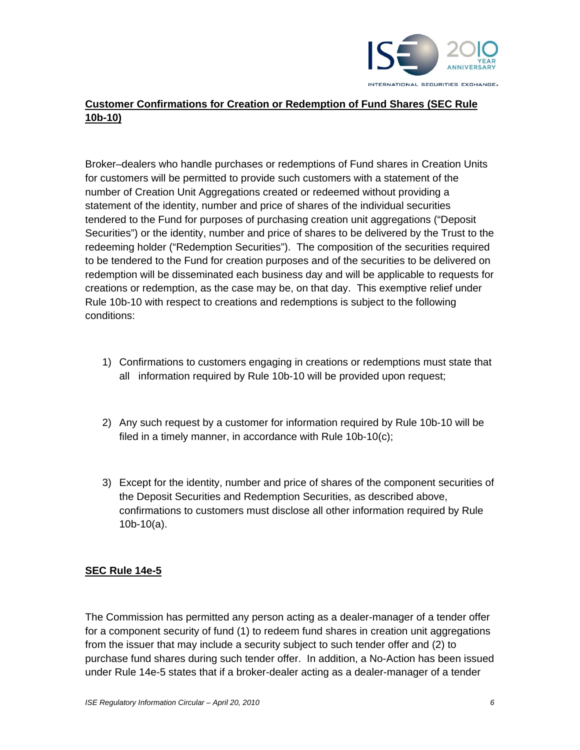

# **Customer Confirmations for Creation or Redemption of Fund Shares (SEC Rule 10b-10)**

Broker–dealers who handle purchases or redemptions of Fund shares in Creation Units for customers will be permitted to provide such customers with a statement of the number of Creation Unit Aggregations created or redeemed without providing a statement of the identity, number and price of shares of the individual securities tendered to the Fund for purposes of purchasing creation unit aggregations ("Deposit Securities") or the identity, number and price of shares to be delivered by the Trust to the redeeming holder ("Redemption Securities"). The composition of the securities required to be tendered to the Fund for creation purposes and of the securities to be delivered on redemption will be disseminated each business day and will be applicable to requests for creations or redemption, as the case may be, on that day. This exemptive relief under Rule 10b-10 with respect to creations and redemptions is subject to the following conditions:

- 1) Confirmations to customers engaging in creations or redemptions must state that all information required by Rule 10b-10 will be provided upon request;
- 2) Any such request by a customer for information required by Rule 10b-10 will be filed in a timely manner, in accordance with Rule 10b-10(c);
- 3) Except for the identity, number and price of shares of the component securities of the Deposit Securities and Redemption Securities, as described above, confirmations to customers must disclose all other information required by Rule 10b-10(a).

#### **SEC Rule 14e-5**

The Commission has permitted any person acting as a dealer-manager of a tender offer for a component security of fund (1) to redeem fund shares in creation unit aggregations from the issuer that may include a security subject to such tender offer and (2) to purchase fund shares during such tender offer. In addition, a No-Action has been issued under Rule 14e-5 states that if a broker-dealer acting as a dealer-manager of a tender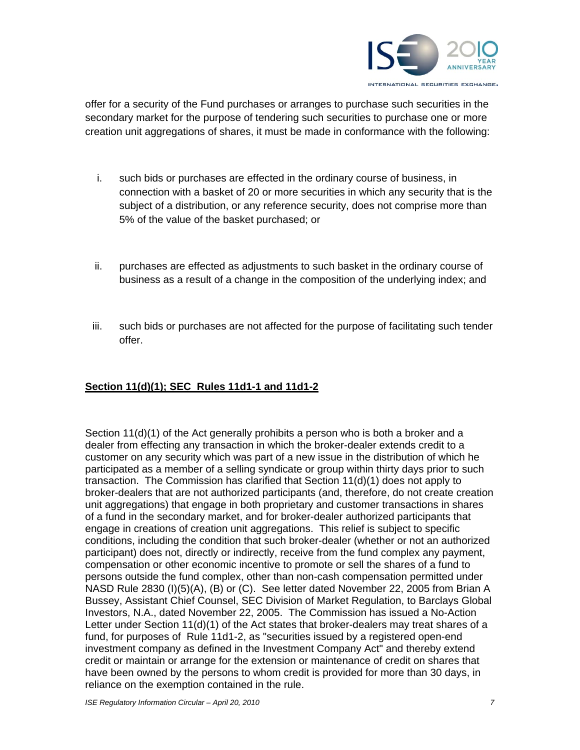

offer for a security of the Fund purchases or arranges to purchase such securities in the secondary market for the purpose of tendering such securities to purchase one or more creation unit aggregations of shares, it must be made in conformance with the following:

- i. such bids or purchases are effected in the ordinary course of business, in connection with a basket of 20 or more securities in which any security that is the subject of a distribution, or any reference security, does not comprise more than 5% of the value of the basket purchased; or
- ii. purchases are effected as adjustments to such basket in the ordinary course of business as a result of a change in the composition of the underlying index; and
- iii. such bids or purchases are not affected for the purpose of facilitating such tender offer.

## **Section 11(d)(1); SEC Rules 11d1-1 and 11d1-2**

Section 11(d)(1) of the Act generally prohibits a person who is both a broker and a dealer from effecting any transaction in which the broker-dealer extends credit to a customer on any security which was part of a new issue in the distribution of which he participated as a member of a selling syndicate or group within thirty days prior to such transaction. The Commission has clarified that Section 11(d)(1) does not apply to broker-dealers that are not authorized participants (and, therefore, do not create creation unit aggregations) that engage in both proprietary and customer transactions in shares of a fund in the secondary market, and for broker-dealer authorized participants that engage in creations of creation unit aggregations. This relief is subject to specific conditions, including the condition that such broker-dealer (whether or not an authorized participant) does not, directly or indirectly, receive from the fund complex any payment, compensation or other economic incentive to promote or sell the shares of a fund to persons outside the fund complex, other than non-cash compensation permitted under NASD Rule 2830 (I)(5)(A), (B) or (C). See letter dated November 22, 2005 from Brian A Bussey, Assistant Chief Counsel, SEC Division of Market Regulation, to Barclays Global Investors, N.A., dated November 22, 2005. The Commission has issued a No-Action Letter under Section 11(d)(1) of the Act states that broker-dealers may treat shares of a fund, for purposes of Rule 11d1-2, as "securities issued by a registered open-end investment company as defined in the Investment Company Act" and thereby extend credit or maintain or arrange for the extension or maintenance of credit on shares that have been owned by the persons to whom credit is provided for more than 30 days, in reliance on the exemption contained in the rule.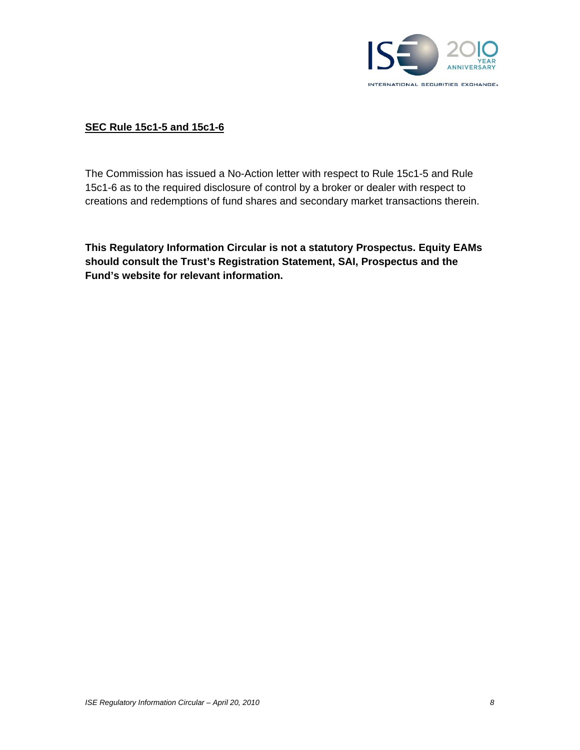

## **SEC Rule 15c1-5 and 15c1-6**

The Commission has issued a No-Action letter with respect to Rule 15c1-5 and Rule 15c1-6 as to the required disclosure of control by a broker or dealer with respect to creations and redemptions of fund shares and secondary market transactions therein.

**This Regulatory Information Circular is not a statutory Prospectus. Equity EAMs should consult the Trust's Registration Statement, SAI, Prospectus and the Fund's website for relevant information.**